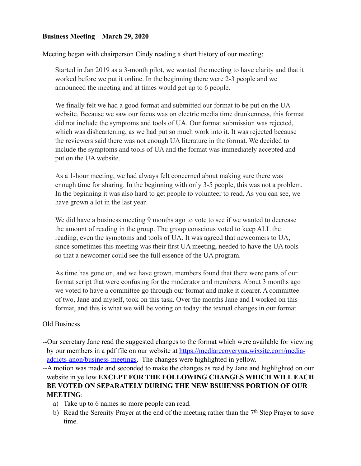#### **Business Meeting – March 29, 2020**

Meeting began with chairperson Cindy reading a short history of our meeting:

Started in Jan 2019 as a 3-month pilot, we wanted the meeting to have clarity and that it worked before we put it online. In the beginning there were 2-3 people and we announced the meeting and at times would get up to 6 people.

We finally felt we had a good format and submitted our format to be put on the UA website. Because we saw our focus was on electric media time drunkenness, this format did not include the symptoms and tools of UA. Our format submission was rejected, which was disheartening, as we had put so much work into it. It was rejected because the reviewers said there was not enough UA literature in the format. We decided to include the symptoms and tools of UA and the format was immediately accepted and put on the UA website.

As a 1-hour meeting, we had always felt concerned about making sure there was enough time for sharing. In the beginning with only 3-5 people, this was not a problem. In the beginning it was also hard to get people to volunteer to read. As you can see, we have grown a lot in the last year.

We did have a business meeting 9 months ago to vote to see if we wanted to decrease the amount of reading in the group. The group conscious voted to keep ALL the reading, even the symptoms and tools of UA. It was agreed that newcomers to UA, since sometimes this meeting was their first UA meeting, needed to have the UA tools so that a newcomer could see the full essence of the UA program.

As time has gone on, and we have grown, members found that there were parts of our format script that were confusing for the moderator and members. About 3 months ago we voted to have a committee go through our format and make it clearer. A committee of two, Jane and myself, took on this task. Over the months Jane and I worked on this format, and this is what we will be voting on today: the textual changes in our format.

#### Old Business

--Our secretary Jane read the suggested changes to the format which were available for viewing [by our members in a pdf file on our website at https://mediarecoveryua.wixsite.com/media](https://mediarecoveryua.wixsite.com/media-addicts-anon/business-meetings)addicts-anon/business-meetings. The changes were highlighted in yellow.

--A motion was made and seconded to make the changes as read by Jane and highlighted on our website in yellow **EXCEPT FOR THE FOLLOWING CHANGES WHICH WILL EACH BE VOTED ON SEPARATELY DURING THE NEW BSUIENSS PORTION OF OUR MEETING**:

- a) Take up to 6 names so more people can read.
- b) Read the Serenity Prayer at the end of the meeting rather than the  $7<sup>th</sup>$  Step Prayer to save time.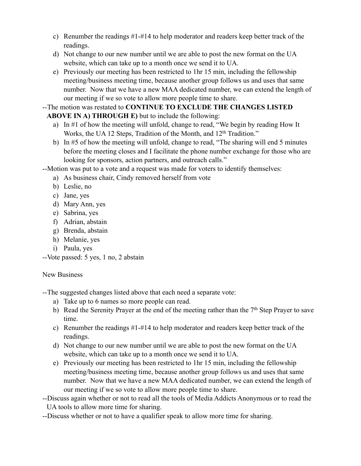- c) Renumber the readings #1-#14 to help moderator and readers keep better track of the readings.
- d) Not change to our new number until we are able to post the new format on the UA website, which can take up to a month once we send it to UA.
- e) Previously our meeting has been restricted to 1hr 15 min, including the fellowship meeting/business meeting time, because another group follows us and uses that same number. Now that we have a new MAA dedicated number, we can extend the length of our meeting if we so vote to allow more people time to share.

# --The motion was restated to **CONTINUE TO EXCLUDE THE CHANGES LISTED**

# **ABOVE IN A) THROUGH E)** but to include the following:

- a) In #1 of how the meeting will unfold, change to read, "We begin by reading How It Works, the UA 12 Steps, Tradition of the Month, and 12<sup>th</sup> Tradition."
- b) In #5 of how the meeting will unfold, change to read, "The sharing will end 5 minutes before the meeting closes and I facilitate the phone number exchange for those who are looking for sponsors, action partners, and outreach calls."
- --Motion was put to a vote and a request was made for voters to identify themselves:
	- a) As business chair, Cindy removed herself from vote
	- b) Leslie, no
	- c) Jane, yes
	- d) Mary Ann, yes
	- e) Sabrina, yes
	- f) Adrian, abstain
	- g) Brenda, abstain
	- h) Melanie, yes
	- i) Paula, yes

--Vote passed: 5 yes, 1 no, 2 abstain

### New Business

--The suggested changes listed above that each need a separate vote:

- a) Take up to 6 names so more people can read.
- b) Read the Serenity Prayer at the end of the meeting rather than the  $7<sup>th</sup>$  Step Prayer to save time.
- c) Renumber the readings #1-#14 to help moderator and readers keep better track of the readings.
- d) Not change to our new number until we are able to post the new format on the UA website, which can take up to a month once we send it to UA.
- e) Previously our meeting has been restricted to 1hr 15 min, including the fellowship meeting/business meeting time, because another group follows us and uses that same number. Now that we have a new MAA dedicated number, we can extend the length of our meeting if we so vote to allow more people time to share.
- --Discuss again whether or not to read all the tools of Media Addicts Anonymous or to read the UA tools to allow more time for sharing.
- --Discuss whether or not to have a qualifier speak to allow more time for sharing.